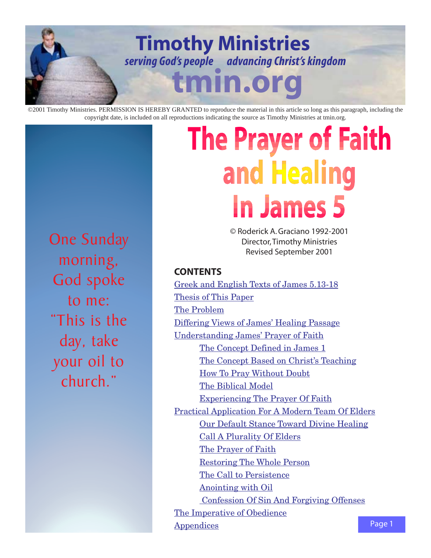

copyright date, is included on all reproductions indicating the source as Timothy Ministries at tmin.org.

## One Sunday morning, God spoke to me: "This is the day, take your oil to church."

# **The Prayer of Faith** and Healing In James 5

© Roderick A. Graciano 1992-2001 Director, Timothy Ministries Revised September 2001

## **CONTENTS**

[Greek and English Texts of James 5.13-18](#page-1-0) [Thesis of This Paper](#page-1-0) [The Problem](#page-1-0) [Differing Views of James' Healing Passage](#page-2-0) [Understanding James' Prayer of Faith](#page-5-0) The Concept Defined in James 1 [The Concept Based on Christ's Teaching](#page-5-0) [How To Pray Without Doubt](#page-7-0) [The Biblical Model](#page-9-0) [Experiencing The Prayer Of Faith](#page-10-0) [Practical Application For A Modern Team Of Elders](#page-11-0) [Our Default Stance Toward Divine Healing](#page-11-0) [Call A Plurality Of Elders](#page-11-0) [The Prayer of Faith](#page-12-0) [Restoring The Whole Person](#page-13-0) [The Call to Persistence](#page-13-0) [Anointing with Oil](#page-14-0)  [Confession Of Sin And Forgiving Offenses](#page-15-0) [The Imperative of Obedience](#page-15-0) [Appendices](#page-16-0)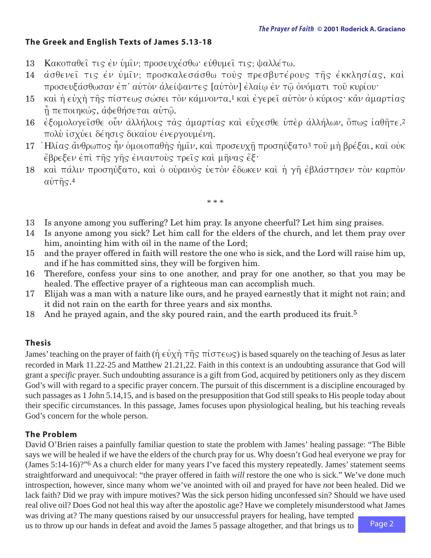## <span id="page-1-0"></span>**The Greek and English Texts of James 5.13-18**

- 13 Κακοπαθεί τις έν ύμιν: προσευχέσθω· εύθυμει τις: ψαλλέτω.
- 14 ασθενεί τις έν ύμιν; προσκαλεσάσθω τούς πρεσβυτέρους της εκκλησίας, και προσευξάσθωσαν έπ' αὐτὸν ἀλείψαντες [αὐτὸν] ἐλαίω ἐν τῶ ὀνόματι τοῦ κυρίου·
- 15 kai ή εὐχὴ τῆς πίστεως σώσει τὸν κάμνοντα[,1](#page-19-0) καὶ ἐγερεῖ αὐτὸν ὁ κύριος· κἂν ἁμαρτίας  $\hat{\eta}$  πεποιηκώς, αφεθήσεται αυτώ.
- 16 έξομολογείσθε οὖν άλλήλοις τὰς ἁμαρτίας καὶ εὔχεσθε ὑπὲρ ἀλλήλων, ὅπως ἰαθῆτε[.2](#page-19-0) πολύ ισχύει δέησις δικαίου ενεργουμένη.
- 17 Hλίας άνθρωπος ην ομοιοπαθής ημίν, και προσευχη προσηύξατο<sup>3</sup> του μη βρέξαι, και ούκ εβρεξεν έπι τής γής ένιαυτούς τρείς και μήνας έξ·
- 18 και πάλιν προσηύξατο, και ο ουρανος υετον έδωκεν και ή γη εβλάστησεν τον καρπον  $\alpha \dot{\nu}$   $\tau$   $\hat{\eta}$   $\varsigma$ .<sup>[4](#page-19-0)</sup>
	- \* \* \*
- 13 Is anyone among you suffering? Let him pray. Is anyone cheerful? Let him sing praises.
- 14 Is anyone among you sick? Let him call for the elders of the church, and let them pray over him, anointing him with oil in the name of the Lord;
- 15 and the prayer offered in faith will restore the one who is sick, and the Lord will raise him up, and if he has committed sins, they will be forgiven him.
- 16 Therefore, confess your sins to one another, and pray for one another, so that you may be healed. The effective prayer of a righteous man can accomplish much.
- 17 Elijah was a man with a nature like ours, and he prayed earnestly that it might not rain; and it did not rain on the earth for three years and six months.
- 18 And he prayed again, and the sky poured rain, and the earth produced its fruit.<sup>5</sup>

## **Thesis**

James' teaching on the prayer of faith ( $\eta \in \dot{v} \times \eta$   $\tau \hat{\eta}$   $\tau \hat{\eta}$   $\tau$  ( $\sigma \tau \in \omega$ ) is based squarely on the teaching of Jesus as later recorded in Mark 11.22-25 and Matthew 21.21,22. Faith in this context is an undoubting assurance that God will grant a *specific* prayer. Such undoubting assurance is a gift from God, acquired by petitioners only as they discern God's will with regard to a specific prayer concern. The pursuit of this discernment is a discipline encouraged by such passages as 1 John 5.14,15, and is based on the presupposition that God still speaks to His people today about their specific circumstances. In this passage, James focuses upon physiological healing, but his teaching reveals God's concern for the whole person.

## **The Problem**

David O'Brien raises a painfully familiar question to state the problem with James' healing passage: "The Bible says we will be healed if we have the elders of the church pray for us. Why doesn't God heal everyone we pray for (James 5:14-16)?["6](#page-19-0) As a church elder for many years I've faced this mystery repeatedly. James' statement seems straightforward and unequivocal: "the prayer offered in faith *will* restore the one who is sick." We've done much introspection, however, since many whom we've anointed with oil and prayed for have *not* been healed. Did we lack faith? Did we pray with impure motives? Was the sick person hiding unconfessed sin? Should we have used real olive oil? Does God not heal this way after the apostolic age? Have we completely misunderstood what James

was driving at? The many questions raised by our unsuccessful prayers for healing, have tempted us to throw up our hands in defeat and avoid the James 5 passage altogether, and that brings us to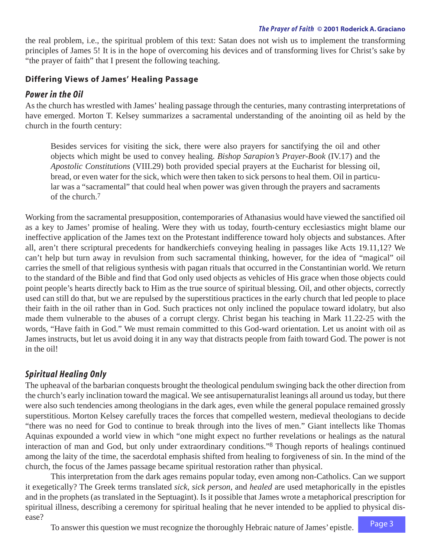<span id="page-2-0"></span>the real problem, i.e., the spiritual problem of this text: Satan does not wish us to implement the transforming principles of James 5! It is in the hope of overcoming his devices and of transforming lives for Christ's sake by "the prayer of faith" that I present the following teaching.

## **Differing Views of James' Healing Passage**

## *Power in the Oil*

As the church has wrestled with James' healing passage through the centuries, many contrasting interpretations of have emerged. Morton T. Kelsey summarizes a sacramental understanding of the anointing oil as held by the church in the fourth century:

Besides services for visiting the sick, there were also prayers for sanctifying the oil and other objects which might be used to convey healing. *Bishop Sarapion's Prayer-Book* (IV.17) and the *Apostolic Constitutions* (VIII.29) both provided special prayers at the Eucharist for blessing oil, bread, or even water for the sick, which were then taken to sick persons to heal them. Oil in particular was a "sacramental" that could heal when power was given through the prayers and sacraments of the church[.7](#page-19-0)

Working from the sacramental presupposition, contemporaries of Athanasius would have viewed the sanctified oil as a key to James' promise of healing. Were they with us today, fourth-century ecclesiastics might blame our ineffective application of the James text on the Protestant indifference toward holy objects and substances. After all, aren't there scriptural precedents for handkerchiefs conveying healing in passages like Acts 19.11,12? We can't help but turn away in revulsion from such sacramental thinking, however, for the idea of "magical" oil carries the smell of that religious synthesis with pagan rituals that occurred in the Constantinian world. We return to the standard of the Bible and find that God only used objects as vehicles of His grace when those objects could point people's hearts directly back to Him as the true source of spiritual blessing. Oil, and other objects, correctly used can still do that, but we are repulsed by the superstitious practices in the early church that led people to place their faith in the oil rather than in God. Such practices not only inclined the populace toward idolatry, but also made them vulnerable to the abuses of a corrupt clergy. Christ began his teaching in Mark 11.22-25 with the words, "Have faith in God." We must remain committed to this God-ward orientation. Let us anoint with oil as James instructs, but let us avoid doing it in any way that distracts people from faith toward God. The power is not in the oil!

## *Spiritual Healing Only*

The upheaval of the barbarian conquests brought the theological pendulum swinging back the other direction from the church's early inclination toward the magical. We see antisupernaturalist leanings all around us today, but there were also such tendencies among theologians in the dark ages, even while the general populace remained grossly superstitious. Morton Kelsey carefully traces the forces that compelled western, medieval theologians to decide "there was no need for God to continue to break through into the lives of men." Giant intellects like Thomas Aquinas expounded a world view in which "one might expect no further revelations or healings as the natural interaction of man and God, but only under extraordinary conditions.["8](#page-19-0) Though reports of healings continued among the laity of the time, the sacerdotal emphasis shifted from healing to forgiveness of sin. In the mind of the church, the focus of the James passage became spiritual restoration rather than physical.

This interpretation from the dark ages remains popular today, even among non-Catholics. Can we support it exegetically? The Greek terms translated *sick, sick person,* and *healed* are used metaphorically in the epistles and in the prophets (as translated in the Septuagint). Is it possible that James wrote a metaphorical prescription for spiritual illness, describing a ceremony for spiritual healing that he never intended to be applied to physical disease?

To answer this question we must recognize the thoroughly Hebraic nature of James' epistle.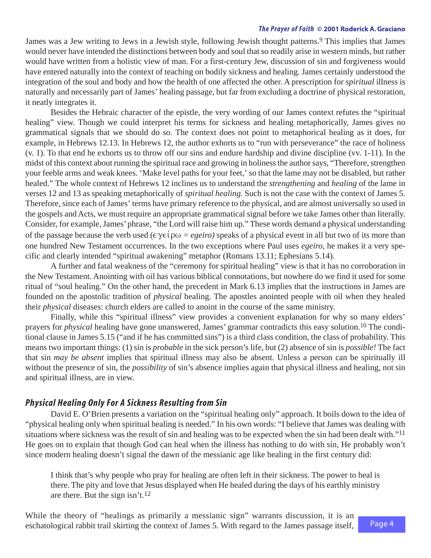<span id="page-3-0"></span>James was a Jew writing to Jews in a Jewish style, following Jewish thought patterns.<sup>9</sup> This implies that James would never have intended the distinctions between body and soul that so readily arise in western minds, but rather would have written from a holistic view of man. For a first-century Jew, discussion of sin and forgiveness would have entered naturally into the context of teaching on bodily sickness and healing. James certainly understood the integration of the soul and body and how the health of one affected the other. A prescription for *spiritual* illness is naturally and necessarily part of James' healing passage, but far from excluding a doctrine of physical restoration, it neatly integrates it.

Besides the Hebraic character of the epistle, the very wording of our James context refutes the "spiritual healing" view. Though we could interpret his terms for sickness and healing metaphorically, James gives no grammatical signals that we should do so. The context does not point to metaphorical healing as it does, for example, in Hebrews 12.13. In Hebrews 12, the author exhorts us to "run with perseverance" the race of holiness (v. 1). To that end he exhorts us to throw off our sins and endure hardship and divine discipline (vv. 1-11). In the midst of this context about running the spiritual race and growing in holiness the author says, "Therefore, strengthen your feeble arms and weak knees. 'Make level paths for your feet,' so that the lame may not be disabled, but rather healed." The whole context of Hebrews 12 inclines us to understand the *strengthening* and *healing* of the lame in verses 12 and 13 as speaking metaphorically of *spiritual healing.* Such is not the case with the context of James 5. Therefore, since each of James' terms have primary reference to the physical, and are almost universally so used in the gospels and Acts, we must require an appropriate grammatical signal before we take James other than literally. Consider, for example, James' phrase, "the Lord will raise him up." These words demand a physical understanding of the passage because the verb used  $(\epsilon \gamma \epsilon) \omega = \epsilon g \epsilon i \omega$  speaks of a physical event in all but two of its more than one hundred New Testament occurrences. In the two exceptions where Paul uses *egeiro,* he makes it a very specific and clearly intended "spiritual awakening" metaphor (Romans 13.11; Ephesians 5.14).

A further and fatal weakness of the "ceremony for spiritual healing" view is that it has no corroboration in the New Testament. Anointing with oil has various biblical connotations, but nowhere do we find it used for some ritual of "soul healing." On the other hand, the precedent in Mark 6.13 implies that the instructions in James are founded on the apostolic tradition of *physical* healing. The apostles anointed people with oil when they healed their *physical* diseases: church elders are called to anoint in the course of the same ministry.

Finally, while this "spiritual illness" view provides a convenient explanation for why so many elders' prayers for *physical* healing have gone unanswered, James' grammar contradicts this easy solution[.10](#page-19-0) The conditional clause in James 5.15 ("and if he has committed sins") is a third class condition, the class of probability. This means two important things: (1) sin is *probable* in the sick person's life, but (2) absence of sin is *possible!* The fact that sin *may be absent* implies that spiritual illness may also be absent. Unless a person can be spiritually ill without the presence of sin, the *possibility* of sin's absence implies again that physical illness and healing, not sin and spiritual illness, are in view.

## *Physical Healing Only For A Sickness Resulting from Sin*

David E. O'Brien presents a variation on the "spiritual healing only" approach. It boils down to the idea of "physical healing only when spiritual healing is needed." In his own words: "I believe that James was dealing with situations where sickness was the result of sin and healing was to be expected when the sin had been dealt with."<sup>11</sup> He goes on to explain that though God can heal when the illness has nothing to do with sin, He probably won't since modern healing doesn't signal the dawn of the messianic age like healing in the first century did:

I think that's why people who pray for healing are often left in their sickness. The power to heal is there. The pity and love that Jesus displayed when He healed during the days of his earthly ministry are there. But the sign isn't.[12](#page-19-0)

While the theory of "healings as primarily a messianic sign" warrants discussion, it is an eschatological rabbit trail skirting the context of James 5. With regard to the James passage itself,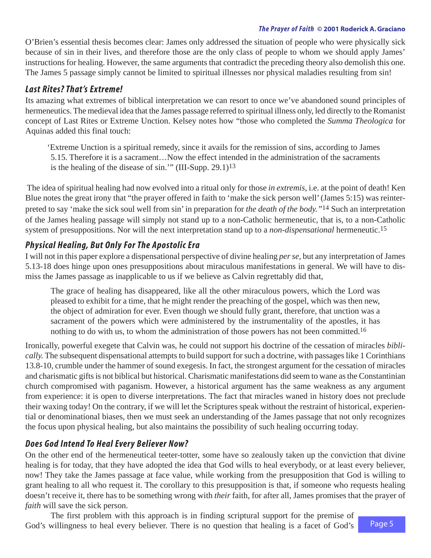<span id="page-4-0"></span>O'Brien's essential thesis becomes clear: James only addressed the situation of people who were physically sick because of sin in their lives, and therefore those are the only class of people to whom we should apply James' instructions for healing. However, the same arguments that contradict the preceding theory also demolish this one. The James 5 passage simply cannot be limited to spiritual illnesses nor physical maladies resulting from sin!

## *Last Rites? That's Ex treme!*

Its amazing what extremes of biblical interpretation we can resort to once we've abandoned sound principles of hermeneutics. The medieval idea that the James passage referred to spiritual illness only, led directly to the Romanist concept of Last Rites or Extreme Unction. Kelsey notes how "those who completed the *Summa Theologica* for Aquinas added this final touch:

'Extreme Unction is a spiritual remedy, since it avails for the remission of sins, according to James 5.15. Therefore it is a sacrament…Now the effect intended in the administration of the sacraments is the healing of the disease of sin.'" (III-Supp. 29.1[\)13](#page-19-0)

The idea of spiritual healing had now evolved into a ritual only for those *in extremis,* i.e. at the point of death! Ken Blue notes the great irony that "the prayer offered in faith to 'make the sick person well' (James 5:15) was reinterpreted to say 'make the sick soul well from sin'in preparation for *the death of the body."*[14](#page-19-0) Such an interpretation of the James healing passage will simply not stand up to a non-Catholic hermeneutic, that is, to a non-Catholic system of presuppositions. Nor will the next interpretation stand up to a *non-dispensational* hermeneutic[.15](#page-19-0)

## *Physical Healing, But Only For The Apostolic Era*

I will not in this paper explore a dispensational perspective of divine healing *per se,* but any interpretation of James 5.13-18 does hinge upon ones presuppositions about miraculous manifestations in general. We will have to dismiss the James passage as inapplicable to us if we believe as Calvin regrettably did that,

The grace of healing has disappeared, like all the other miraculous powers, which the Lord was pleased to exhibit for a time, that he might render the preaching of the gospel, which was then new, the object of admiration for ever. Even though we should fully grant, therefore, that unction was a sacrament of the powers which were administered by the instrumentality of the apostles, it has nothing to do with us, to whom the administration of those powers has not been committed.<sup>16</sup>

Ironically, powerful exegete that Calvin was, he could not support his doctrine of the cessation of miracles *biblically.* The subsequent dispensational attempts to build support for such a doctrine, with passages like 1 Corinthians 13.8-10, crumble under the hammer of sound exegesis. In fact, the strongest argument for the cessation of miracles and charismatic gifts is not biblical but historical. Charismatic manifestations did seem to wane as the Constantinian church compromised with paganism. However, a historical argument has the same weakness as any argument from experience: it is open to diverse interpretations. The fact that miracles waned in history does not preclude their waxing today! On the contrary, if we will let the Scriptures speak without the restraint of historical, experiential or denominational biases, then we must seek an understanding of the James passage that not only recognizes the focus upon physical healing, but also maintains the possibility of such healing occurring today.

## *Does God Intend To Heal Every Believer Now?*

On the other end of the hermeneutical teeter-totter, some have so zealously taken up the conviction that divine healing is for today, that they have adopted the idea that God wills to heal everybody, or at least every believer, now! They take the James passage at face value, while working from the presupposition that God is willing to grant healing to all who request it. The corollary to this presupposition is that, if someone who requests healing doesn't receive it, there has to be something wrong with *their* faith, for after all, James promises that the prayer of *faith* will save the sick person.

The first problem with this approach is in finding scriptural support for the premise of God's willingness to heal every believer. There is no question that healing is a facet of God's

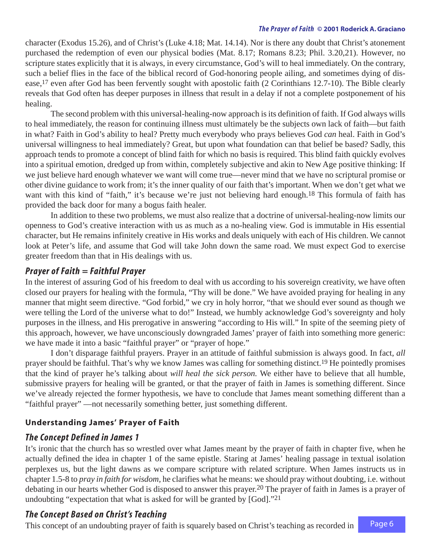<span id="page-5-0"></span>character (Exodus 15.26), and of Christ's (Luke 4.18; Mat. 14.14). Nor is there any doubt that Christ's atonement purchased the redemption of even our physical bodies (Mat. 8.17; Romans 8.23; Phil. 3.20,21). However, no scripture states explicitly that it is always, in every circumstance, God's will to heal immediately. On the contrary, such a belief flies in the face of the biblical record of God-honoring people ailing, and sometimes dying of disease[,17](#page-19-0) even after God has been fervently sought with apostolic faith (2 Corinthians 12.7-10). The Bible clearly reveals that God often has deeper purposes in illness that result in a delay if not a complete postponement of his healing.

The second problem with this universal-healing-now approach is its definition of faith. If God always wills to heal immediately, the reason for continuing illness must ultimately be the subjects own lack of faith—but faith in what? Faith in God's ability to heal? Pretty much everybody who prays believes God *can* heal. Faith in God's universal willingness to heal immediately? Great, but upon what foundation can that belief be based? Sadly, this approach tends to promote a concept of blind faith for which no basis is required. This blind faith quickly evolves into a spiritual emotion, dredged up from within, completely subjective and akin to New Age positive thinking: If we just believe hard enough whatever we want will come true—never mind that we have no scriptural promise or other divine guidance to work from; it's the inner quality of our faith that's important. When we don't get what we want with this kind of "faith," it's because we're just not believing hard enough.<sup>18</sup> This formula of faith has provided the back door for many a bogus faith healer.

In addition to these two problems, we must also realize that a doctrine of universal-healing-now limits our openness to God's creative interaction with us as much as a no-healing view. God is immutable in His essential character, but He remains infinitely creative in His works and deals uniquely with each of His children. We cannot look at Peter's life, and assume that God will take John down the same road. We must expect God to exercise greater freedom than that in His dealings with us.

## *Prayer of Faith = Faithful Prayer*

In the interest of assuring God of his freedom to deal with us according to his sovereign creativity, we have often closed our prayers for healing with the formula, "Thy will be done." We have avoided praying for healing in any manner that might seem directive. "God forbid," we cry in holy horror, "that we should ever sound as though we were telling the Lord of the universe what to do!" Instead, we humbly acknowledge God's sovereignty and holy purposes in the illness, and His prerogative in answering "according to His will." In spite of the seeming piety of this approach, however, we have unconsciously downgraded James' prayer of faith into something more generic: we have made it into a basic "faithful prayer" or "prayer of hope."

I don't disparage faithful prayers. Prayer in an attitude of faithful submission is always good. In fact, *all* prayer should be faithful. That's why we know James was calling for something distinct[.19](#page-19-0) He pointedly promises that the kind of prayer he's talking about *will heal the sick person.* We either have to believe that all humble, submissive prayers for healing will be granted, or that the prayer of faith in James is something different. Since we've already rejected the former hypothesis, we have to conclude that James meant something different than a "faithful prayer" —not necessarily something better, just something different.

## **Understanding James' Prayer of Faith**

## *The Concept Defined in James 1*

It's ironic that the church has so wrestled over what James meant by the prayer of faith in chapter five, when he actually defined the idea in chapter 1 of the same epistle. Staring at James' healing passage in textual isolation perplexes us, but the light dawns as we compare scripture with related scripture. When James instructs us in chapter 1.5-8 to *pray in faith for wisdom,* he clarifies what he means: we should pray without doubting, i.e. without debating in our hearts whether God is disposed to answer this prayer[.20](#page-19-0) The prayer of faith in James is a prayer of undoubting "expectation that what is asked for will be granted by [God].["21](#page-19-0)

## *The Concept Based on Christ's Teaching*

This concept of an undoubting prayer of faith is squarely based on Christ's teaching as recorded in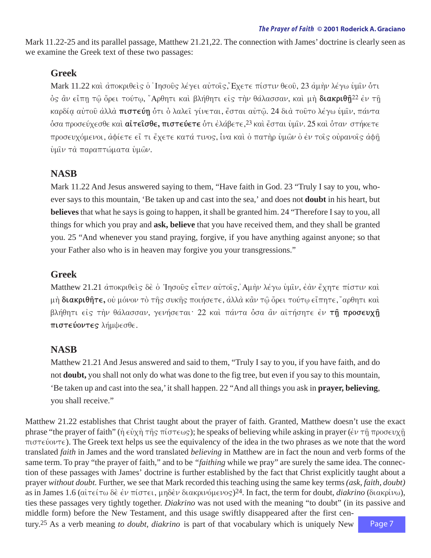<span id="page-6-0"></span>Mark 11.22-25 and its parallel passage, Matthew 21.21,22. The connection with James' doctrine is clearly seen as we examine the Greek text of these two passages:

## **Greek**

Mark 11.22 και άποκριθεις ο 'Ιησούς λέγει αυτοίς, Έχετε πίστιν θεού, 23 αμην λέγω υμίν ότι ός ἂν εἴπη τῷ ὄρει τούτῳ, "Αρθητι καὶ βλήθητι είς τὴν θάλασσαν, καὶ μὴ **διακριθῆ**<sup>[22](#page-19-0)</sup> ἐν τῆ καρδία αύτοῦ ἀλλὰ **πιστεύη** ότι ὁ λαλεῖ γίνεται, ἔσται αὐτῷ. 24 διὰ τοῦτο λέγω ὑμῖν, πάντα όσα προσεύχεσθε καὶ **αἰτεῖσθε, πιστεύετε** ότι ἐλάβετε,<sup>[23](#page-19-0)</sup> καὶ ἔσται ὑμῖν. 25 καὶ ὁταν στήκετε προσευχόμενοι, αφίετε εἴ τι ἔχετε κατά τινος, ίνα καὶ ὁ πατὴρ ὑμῶν ὁ ἐν τοῖς οὐρανοῖς ἀφῆ ύμιν τα παραπτώματα ύμων.

## **NASB**

Mark 11.22 And Jesus answered saying to them, "Have faith in God. 23 "Truly I say to you, whoever says to this mountain, 'Be taken up and cast into the sea,' and does not **doubt** in his heart, but **believes** that what he says is going to happen, it shall be granted him. 24 "Therefore I say to you, all things for which you pray and **ask, believe** that you have received them, and they shall be granted you. 25 "And whenever you stand praying, forgive, if you have anything against anyone; so that your Father also who is in heaven may forgive you your transgressions."

## **Greek**

Matthew 21.21  $\text{d}\pi$ οκριθείς δε ο 'Ιησούς είπεν αύτοις, Αμήν λέγω υμιν, έαν έχητε πίστιν και μή διακριθήτε, ού μόνον τὸ τῆς συκῆς ποιήσετε, ἀλλὰ κἂν τῷ ὄρει τούτῳ εἴπητε, "αρθητι καὶ βλήθητι είς την θάλασσαν, γενήσεται<sup>.</sup> 22 και πάντα όσα ἂν αίτήσητε έν τη προσευχή **πιστεύοντες** λήμψεσθε.

## **NASB**

Matthew 21.21 And Jesus answered and said to them, "Truly I say to you, if you have faith, and do not **doubt,** you shall not only do what was done to the fig tree, but even if you say to this mountain, 'Be taken up and cast into the sea,' it shall happen. 22 "And all things you ask in **prayer, believing**, you shall receive."

Matthew 21.22 establishes that Christ taught about the prayer of faith. Granted, Matthew doesn't use the exact phrase "the prayer of faith" ( $\eta \in \partial y \eta$   $\tau \hat{\eta}$   $\tau$   $\pi(\sigma \tau \in \omega_S)$ ; he speaks of believing while asking in prayer ( $\epsilon \nu \tau \hat{\eta}$   $\pi \rho \circ \sigma \epsilon \nu \chi \hat{\eta}$ )  $\pi$  isteuvonte). The Greek text helps us see the equivalency of the idea in the two phrases as we note that the word translated *faith* in James and the word translated *believing* in Matthew are in fact the noun and verb forms of the same term. To pray "the prayer of faith," and to be *"faithing* while we pray" are surely the same idea. The connection of these passages with James' doctrine is further established by the fact that Christ explicitly taught about a prayer *without doubt.* Further, we see that Mark recorded this teaching using the same key terms *(ask, faith, doubt)* as in James 1.6 (αίτείτω δε έν πίστει, μηδεν διακρινόμενος)<sup>24</sup>. In fact, the term for doubt, *diakrino* (διακρίνω), ties these passages very tightly together. *Diakrino* was not used with the meaning "to doubt" (in its passive and middle form) before the New Testament, and this usage swiftly disappeared after the first cen-

tury[.25](#page-19-0) As a verb meaning *to doubt, diakrino* is part of that vocabulary which is uniquely New

Page 7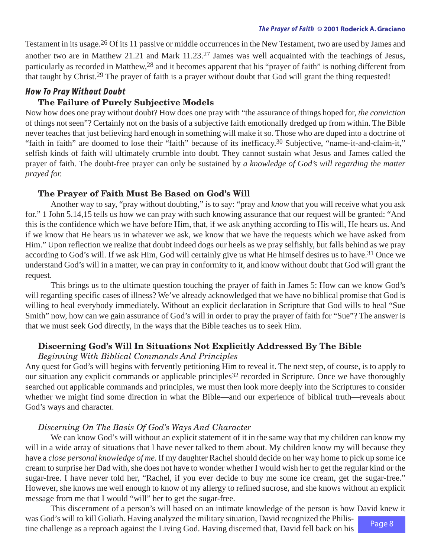<span id="page-7-0"></span>Testament in its usage[.26](#page-19-0) Of its 11 passive or middle occurrences in the New Testament, two are used by James and another two are in Matthew 21.21 and Mark 11.23[.27](#page-19-0) James was well acquainted with the teachings of Jesus, particularly as recorded in Matthew[,28](#page-19-0) and it becomes apparent that his "prayer of faith" is nothing different from that taught by Christ[.29](#page-19-0) The prayer of faith is a prayer without doubt that God will grant the thing requested!

## *How To Pray Without Doubt*

#### **The Failure of Purely Subjective Models**

Now how does one pray without doubt? How does one pray with "the assurance of things hoped for, *the conviction* of things not seen"? Certainly not on the basis of a subjective faith emotionally dredged up from within. The Bible never teaches that just believing hard enough in something will make it so. Those who are duped into a doctrine of "faith in faith" are doomed to lose their "faith" because of its inefficacy[.30](#page-19-0) Subjective, "name-it-and-claim-it," selfish kinds of faith will ultimately crumble into doubt. They cannot sustain what Jesus and James called the prayer of faith. The doubt-free prayer can only be sustained by *a knowledge of God's will regarding the matter prayed for.*

#### **The Prayer of Faith Must Be Based on God's Will**

Another way to say, "pray without doubting," is to say: "pray and *know* that you will receive what you ask for." 1 John 5.14,15 tells us how we can pray with such knowing assurance that our request will be granted: "And this is the confidence which we have before Him, that, if we ask anything according to His will, He hears us. And if we know that He hears us in whatever we ask, we know that we have the requests which we have asked from Him." Upon reflection we realize that doubt indeed dogs our heels as we pray selfishly, but falls behind as we pray according to God's will. If we ask Him, God will certainly give us what He himself desires us to have[.31](#page-20-0) Once we understand God's will in a matter, we can pray in conformity to it, and know without doubt that God will grant the request.

This brings us to the ultimate question touching the prayer of faith in James 5: How can we know God's will regarding specific cases of illness? We've already acknowledged that we have no biblical promise that God is willing to heal everybody immediately. Without an explicit declaration in Scripture that God wills to heal "Sue Smith" now, how can we gain assurance of God's will in order to pray the prayer of faith for "Sue"? The answer is that we must seek God directly, in the ways that the Bible teaches us to seek Him.

#### **Discerning God's Will In Situations Not Explicitly Addressed By The Bible**

#### *Beginning With Biblical Commands And Principles*

Any quest for God's will begins with fervently petitioning Him to reveal it. The next step, of course, is to apply to our situation any explicit commands or applicable principles<sup>32</sup> recorded in Scripture. Once we have thoroughly searched out applicable commands and principles, we must then look more deeply into the Scriptures to consider whether we might find some direction in what the Bible—and our experience of biblical truth—reveals about God's ways and character.

#### *Discerning On The Basis Of God's Ways And Character*

We can know God's will without an explicit statement of it in the same way that my children can know my will in a wide array of situations that I have never talked to them about. My children know my will because they have a *close personal knowledge of me.* If my daughter Rachel should decide on her way home to pick up some ice cream to surprise her Dad with, she does not have to wonder whether I would wish her to get the regular kind or the sugar-free. I have never told her, "Rachel, if you ever decide to buy me some ice cream, get the sugar-free." However, she knows me well enough to know of my allergy to refined sucrose, and she knows without an explicit message from me that I would "will" her to get the sugar-free.

Page 8 This discernment of a person's will based on an intimate knowledge of the person is how David knew it was God's will to kill Goliath. Having analyzed the military situation, David recognized the Philistine challenge as a reproach against the Living God. Having discerned that, David fell back on his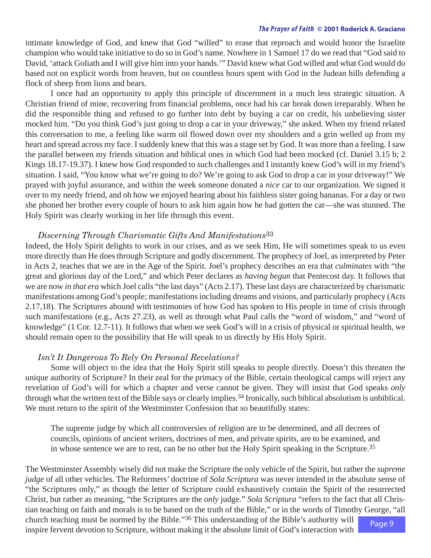<span id="page-8-0"></span>intimate knowledge of God, and knew that God "willed" to erase that reproach and would honor the Israelite champion who would take initiative to do so in God's name. Nowhere in 1 Samuel 17 do we read that "God said to David, 'attack Goliath and I will give him into your hands.'" David knew what God willed and what God would do based not on explicit words from heaven, but on countless hours spent with God in the Judean hills defending a flock of sheep from lions and bears.

I once had an opportunity to apply this principle of discernment in a much less strategic situation. A Christian friend of mine, recovering from financial problems, once had his car break down irreparably. When he did the responsible thing and refused to go further into debt by buying a car on credit, his unbelieving sister mocked him. "Do you think God's just going to drop a car in your driveway," she asked. When my friend related this conversation to me, a feeling like warm oil flowed down over my shoulders and a grin welled up from my heart and spread across my face. I suddenly knew that this was a stage set by God. It was more than a feeling. I saw the parallel between my friends situation and biblical ones in which God had been mocked (cf. Daniel 3.15 b; 2 Kings 18.17-19.37). I knew how God responded to such challenges and I instantly knew God's will in my friend's situation. I said, "You know what we're going to do? We're going to ask God to drop a car in your driveway!" We prayed with joyful assurance, and within the week someone donated a *nice* car to our organization. We signed it over to my needy friend, and oh how we enjoyed hearing about his faithless sister going bananas. For a day or two she phoned her brother every couple of hours to ask him again how he had gotten the car—she was stunned. The Holy Spirit was clearly working in her life through this event.

#### *Discerning Through Charismatic Gifts And Manifestations*[33](#page-20-0)

Indeed, the Holy Spirit delights to work in our crises, and as we seek Him, He will sometimes speak to us even more directly than He does through Scripture and godly discernment. The prophecy of Joel, as interpreted by Peter in Acts 2, teaches that we are in the Age of the Spirit. Joel's prophecy describes an era that *culminates* with "the great and glorious day of the Lord," and which Peter declares as *having begun* that Pentecost day. It follows that we are now *in that era* which Joel calls "the last days" (Acts 2.17). These last days are characterized by charismatic manifestations among God's people; manifestations including dreams and visions, and particularly prophecy (Acts 2.17,18). The Scriptures abound with testimonies of how God has spoken to His people in time of crisis through such manifestations (e.g., Acts 27.23), as well as through what Paul calls the "word of wisdom," and "word of knowledge" (1 Cor. 12.7-11). It follows that when we seek God's will in a crisis of physical or spiritual health, we should remain open to the possibility that He will speak to us directly by His Holy Spirit.

#### *Isn't It Dangerous To Rely On Personal Revelations?*

Some will object to the idea that the Holy Spirit still speaks to people directly. Doesn't this threaten the unique authority of Scripture? In their zeal for the primacy of the Bible, certain theological camps will reject any revelation of God's will for which a chapter and verse cannot be given. They will insist that God speaks *only* through what the written text of the Bible says or clearly implies[.34](#page-20-0) Ironically, such biblical absolutism is unbiblical. We must return to the spirit of the Westminster Confession that so beautifully states:

The supreme judge by which all controversies of religion are to be determined, and all decrees of councils, opinions of ancient writers, doctrines of men, and private spirits, are to be examined, and in whose sentence we are to rest, can be no other but the Holy Spirit speaking in the Scripture[.35](#page-20-0)

Page 9 The Westminster Assembly wisely did not make the Scripture the only vehicle of the Spirit, but rather the *supreme judge* of all other vehicles. The Reformers' doctrine of *Sola Scriptura* was never intended in the absolute sense of "the Scriptures only," as though the letter of Scripture could exhaustively contain the Spirit of the resurrected Christ, but rather as meaning, "the Scriptures are the *only* judge." *Sola Scriptura* "refers to the fact that all Christian teaching on faith and morals is to be based on the truth of the Bible," or in the words of Timothy George, "all church teaching must be normed by the Bible.["36](#page-20-0) This understanding of the Bible's authority will

inspire fervent devotion to Scripture, without making it the absolute limit of God's interaction with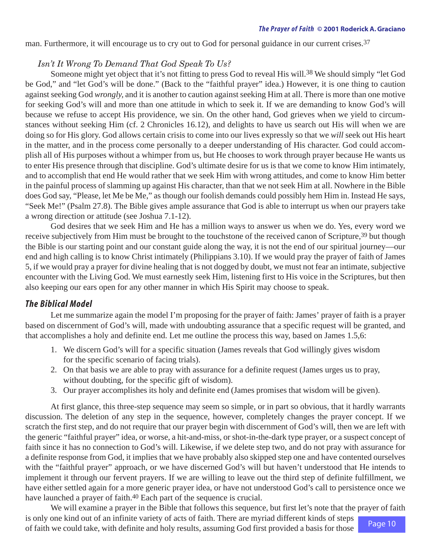<span id="page-9-0"></span>man. Furthermore, it will encourage us to cry out to God for personal guidance in our current crises.<sup>37</sup>

### *Isn't It Wrong To Demand That God Speak To Us?*

Someone might yet object that it's not fitting to press God to reveal His will.<sup>38</sup> We should simply "let God" be God," and "let God's will be done." (Back to the "faithful prayer" idea.) However, it is one thing to caution against seeking God *wrongly,* and it is another to caution against seeking Him at all. There is more than one motive for seeking God's will and more than one attitude in which to seek it. If we are demanding to know God's will because we refuse to accept His providence, we sin. On the other hand, God grieves when we yield to circumstances without seeking Him (cf. 2 Chronicles 16.12), and delights to have us search out His will when we are doing so for His glory. God allows certain crisis to come into our lives expressly so that we *will* seek out His heart in the matter, and in the process come personally to a deeper understanding of His character. God could accomplish all of His purposes without a whimper from us, but He chooses to work through prayer because He wants us to enter His presence through that discipline. God's ultimate desire for us is that we come to know Him intimately, and to accomplish that end He would rather that we seek Him with wrong attitudes, and come to know Him better in the painful process of slamming up against His character, than that we not seek Him at all. Nowhere in the Bible does God say, "Please, let Me be Me," as though our foolish demands could possibly hem Him in. Instead He says, "Seek Me!" (Psalm 27.8). The Bible gives ample assurance that God is able to interrupt us when our prayers take a wrong direction or attitude (see Joshua 7.1-12).

God desires that we seek Him and He has a million ways to answer us when we do. Yes, every word we receive subjectively from Him must be brought to the touchstone of the received canon of Scripture,<sup>39</sup> but though the Bible is our starting point and our constant guide along the way, it is not the end of our spiritual journey—our end and high calling is to know Christ intimately (Philippians 3.10). If we would pray the prayer of faith of James 5, if we would pray a prayer for divine healing that is not dogged by doubt, we must not fear an intimate, subjective encounter with the Living God. We must earnestly seek Him, listening first to His voice in the Scriptures, but then also keeping our ears open for any other manner in which His Spirit may choose to speak.

## *The Biblical Model*

Let me summarize again the model I'm proposing for the prayer of faith: James' prayer of faith is a prayer based on discernment of God's will, made with undoubting assurance that a specific request will be granted, and that accomplishes a holy and definite end. Let me outline the process this way, based on James 1.5,6:

- 1. We discern God's will for a specific situation (James reveals that God willingly gives wisdom for the specific scenario of facing trials).
- 2. On that basis we are able to pray with assurance for a definite request (James urges us to pray, without doubting, for the specific gift of wisdom).
- 3. Our prayer accomplishes its holy and definite end (James promises that wisdom will be given).

At first glance, this three-step sequence may seem so simple, or in part so obvious, that it hardly warrants discussion. The deletion of any step in the sequence, however, completely changes the prayer concept. If we scratch the first step, and do not require that our prayer begin with discernment of God's will, then we are left with the generic "faithful prayer" idea, or worse, a hit-and-miss, or shot-in-the-dark type prayer, or a suspect concept of faith since it has no connection to God's will. Likewise, if we delete step two, and do not pray with assurance for a definite response from God, it implies that we have probably also skipped step one and have contented ourselves with the "faithful prayer" approach, or we have discerned God's will but haven't understood that He intends to implement it through our fervent prayers. If we are willing to leave out the third step of definite fulfillment, we have either settled again for a more generic prayer idea, or have not understood God's call to persistence once we have launched a prayer of faith.<sup>40</sup> Each part of the sequence is crucial.

Page 10 We will examine a prayer in the Bible that follows this sequence, but first let's note that the prayer of faith is only one kind out of an infinite variety of acts of faith. There are myriad different kinds of steps of faith we could take, with definite and holy results, assuming God first provided a basis for those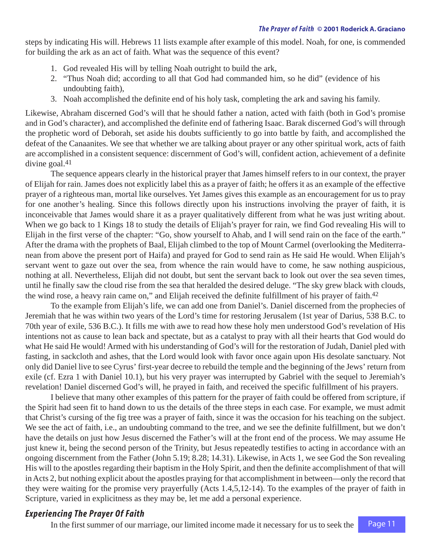<span id="page-10-0"></span>steps by indicating His will. Hebrews 11 lists example after example of this model. Noah, for one, is commended for building the ark as an act of faith. What was the sequence of this event?

- 1. God revealed His will by telling Noah outright to build the ark,
- 2. "Thus Noah did; according to all that God had commanded him, so he did" (evidence of his undoubting faith),
- 3. Noah accomplished the definite end of his holy task, completing the ark and saving his family.

Likewise, Abraham discerned God's will that he should father a nation, acted with faith (both in God's promise and in God's character), and accomplished the definite end of fathering Isaac. Barak discerned God's will through the prophetic word of Deborah, set aside his doubts sufficiently to go into battle by faith, and accomplished the defeat of the Canaanites. We see that whether we are talking about prayer or any other spiritual work, acts of faith are accomplished in a consistent sequence: discernment of God's will, confident action, achievement of a definite divine goal[.41](#page-20-0)

The sequence appears clearly in the historical prayer that James himself refers to in our context, the prayer of Elijah for rain. James does not explicitly label this as a prayer of faith; he offers it as an example of the effective prayer of a righteous man, mortal like ourselves. Yet James gives this example as an encouragement for us to pray for one another's healing. Since this follows directly upon his instructions involving the prayer of faith, it is inconceivable that James would share it as a prayer qualitatively different from what he was just writing about. When we go back to 1 Kings 18 to study the details of Elijah's prayer for rain, we find God revealing His will to Elijah in the first verse of the chapter: "Go, show yourself to Ahab, and I will send rain on the face of the earth." After the drama with the prophets of Baal, Elijah climbed to the top of Mount Carmel (overlooking the Mediterranean from above the present port of Haifa) and prayed for God to send rain as He said He would. When Elijah's servant went to gaze out over the sea, from whence the rain would have to come, he saw nothing auspicious, nothing at all. Nevertheless, Elijah did not doubt, but sent the servant back to look out over the sea seven times, until he finally saw the cloud rise from the sea that heralded the desired deluge. "The sky grew black with clouds, the wind rose, a heavy rain came on," and Elijah received the definite fulfillment of his prayer of faith.<sup>42</sup>

To the example from Elijah's life, we can add one from Daniel's. Daniel discerned from the prophecies of Jeremiah that he was within two years of the Lord's time for restoring Jerusalem (1st year of Darius, 538 B.C. to 70th year of exile, 536 B.C.). It fills me with awe to read how these holy men understood God's revelation of His intentions not as cause to lean back and spectate, but as a catalyst to pray with all their hearts that God would do what He said He would! Armed with his understanding of God's will for the restoration of Judah, Daniel pled with fasting, in sackcloth and ashes, that the Lord would look with favor once again upon His desolate sanctuary. Not only did Daniel live to see Cyrus' first-year decree to rebuild the temple and the beginning of the Jews' return from exile (cf. Ezra 1 with Daniel 10.1), but his very prayer was interrupted by Gabriel with the sequel to Jeremiah's revelation! Daniel discerned God's will, he prayed in faith, and received the specific fulfillment of his prayers.

I believe that many other examples of this pattern for the prayer of faith could be offered from scripture, if the Spirit had seen fit to hand down to us the details of the three steps in each case. For example, we must admit that Christ's cursing of the fig tree was a prayer of faith, since it was the occasion for his teaching on the subject. We see the act of faith, i.e., an undoubting command to the tree, and we see the definite fulfillment, but we don't have the details on just how Jesus discerned the Father's will at the front end of the process. We may assume He just knew it, being the second person of the Trinity, but Jesus repeatedly testifies to acting in accordance with an ongoing discernment from the Father (John 5.19; 8.28; 14.31). Likewise, in Acts 1, we see God the Son revealing His will to the apostles regarding their baptism in the Holy Spirit, and then the definite accomplishment of that will in Acts 2, but nothing explicit about the apostles praying for that accomplishment in between—only the record that they were waiting for the promise very prayerfully (Acts 1.4,5,12-14). To the examples of the prayer of faith in Scripture, varied in explicitness as they may be, let me add a personal experience.

## *Experiencing The Prayer Of Faith*

In the first summer of our marriage, our limited income made it necessary for us to seek the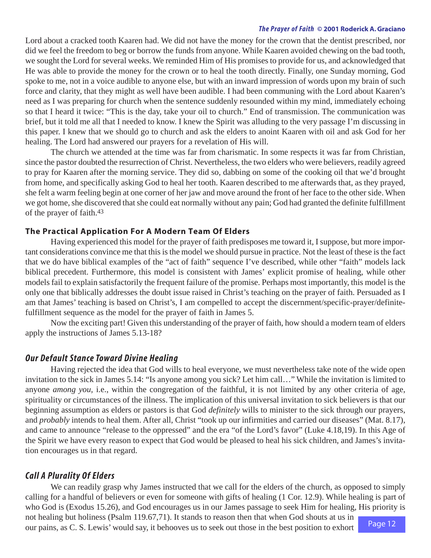<span id="page-11-0"></span>Lord about a cracked tooth Kaaren had. We did not have the money for the crown that the dentist prescribed, nor did we feel the freedom to beg or borrow the funds from anyone. While Kaaren avoided chewing on the bad tooth, we sought the Lord for several weeks. We reminded Him of His promises to provide for us, and acknowledged that He was able to provide the money for the crown or to heal the tooth directly. Finally, one Sunday morning, God spoke to me, not in a voice audible to anyone else, but with an inward impression of words upon my brain of such force and clarity, that they might as well have been audible. I had been communing with the Lord about Kaaren's need as I was preparing for church when the sentence suddenly resounded within my mind, immediately echoing so that I heard it twice: "This is the day, take your oil to church." End of transmission. The communication was brief, but it told me all that I needed to know. I knew the Spirit was alluding to the very passage I'm discussing in this paper. I knew that we should go to church and ask the elders to anoint Kaaren with oil and ask God for her healing. The Lord had answered our prayers for a revelation of His will.

The church we attended at the time was far from charismatic. In some respects it was far from Christian, since the pastor doubted the resurrection of Christ. Nevertheless, the two elders who were believers, readily agreed to pray for Kaaren after the morning service. They did so, dabbing on some of the cooking oil that we'd brought from home, and specifically asking God to heal her tooth. Kaaren described to me afterwards that, as they prayed, she felt a warm feeling begin at one corner of her jaw and move around the front of her face to the other side. When we got home, she discovered that she could eat normally without any pain; God had granted the definite fulfillment of the prayer of faith[.43](#page-20-0)

#### **The Practical Application For A Modern Team Of Elders**

Having experienced this model for the prayer of faith predisposes me toward it, I suppose, but more important considerations convince me that this is the model we should pursue in practice. Not the least of these is the fact that we do have biblical examples of the "act of faith" sequence I've described, while other "faith" models lack biblical precedent. Furthermore, this model is consistent with James' explicit promise of healing, while other models fail to explain satisfactorily the frequent failure of the promise. Perhaps most importantly, this model is the only one that biblically addresses the doubt issue raised in Christ's teaching on the prayer of faith. Persuaded as I am that James' teaching is based on Christ's, I am compelled to accept the discernment/specific-prayer/definitefulfillment sequence as the model for the prayer of faith in James 5.

Now the exciting part! Given this understanding of the prayer of faith, how should a modern team of elders apply the instructions of James 5.13-18?

## *Our Default Stance Toward Divine Healing*

Having rejected the idea that God wills to heal everyone, we must nevertheless take note of the wide open invitation to the sick in James 5.14: "Is anyone among you sick? Let him call…" While the invitation is limited to anyone *among you,* i.e., within the congregation of the faithful, it is not limited by any other criteria of age, spirituality or circumstances of the illness. The implication of this universal invitation to sick believers is that our beginning assumption as elders or pastors is that God *definitely* wills to minister to the sick through our prayers, and *probably* intends to heal them. After all, Christ "took up our infirmities and carried our diseases" (Mat. 8.17), and came to announce "release to the oppressed" and the era "of the Lord's favor" (Luke 4.18,19). In this Age of the Spirit we have every reason to expect that God would be pleased to heal his sick children, and James's invitation encourages us in that regard.

#### *Call A Plurality Of Elders*

We can readily grasp why James instructed that we call for the elders of the church, as opposed to simply calling for a handful of believers or even for someone with gifts of healing (1 Cor. 12.9). While healing is part of who God is (Exodus 15.26), and God encourages us in our James passage to seek Him for healing, His priority is not healing but holiness (Psalm 119.67,71). It stands to reason then that when God shouts at us in

our pains, as C. S. Lewis' would say, it behooves us to seek out those in the best position to exhort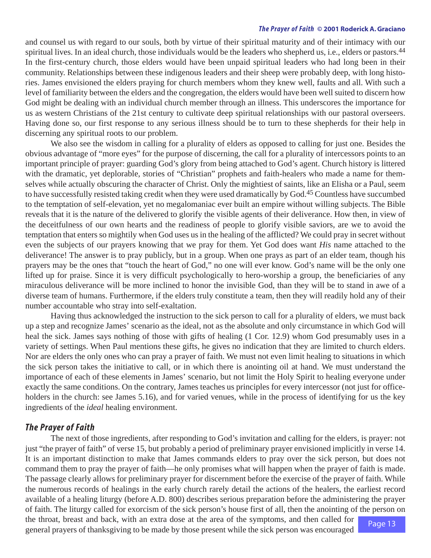<span id="page-12-0"></span>and counsel us with regard to our souls, both by virtue of their spiritual maturity and of their intimacy with our spiritual lives. In an ideal church, those individuals would be the leaders who shepherd us, i.e., elders or pastors.<sup>44</sup> In the first-century church, those elders would have been unpaid spiritual leaders who had long been in their community. Relationships between these indigenous leaders and their sheep were probably deep, with long histories. James envisioned the elders praying for church members whom they knew well, faults and all. With such a level of familiarity between the elders and the congregation, the elders would have been well suited to discern how God might be dealing with an individual church member through an illness. This underscores the importance for us as western Christians of the 21st century to cultivate deep spiritual relationships with our pastoral overseers. Having done so, our first response to any serious illness should be to turn to these shepherds for their help in discerning any spiritual roots to our problem.

We also see the wisdom in calling for a plurality of elders as opposed to calling for just one. Besides the obvious advantage of "more eyes" for the purpose of discerning, the call for a plurality of intercessors points to an important principle of prayer: guarding God's glory from being attached to God's agent. Church history is littered with the dramatic, yet deplorable, stories of "Christian" prophets and faith-healers who made a name for themselves while actually obscuring the character of Christ. Only the mightiest of saints, like an Elisha or a Paul, seem to have successfully resisted taking credit when they were used dramatically by God[.45](#page-20-0) Countless have succumbed to the temptation of self-elevation, yet no megalomaniac ever built an empire without willing subjects. The Bible reveals that it is the nature of the delivered to glorify the visible agents of their deliverance. How then, in view of the deceitfulness of our own hearts and the readiness of people to glorify visible saviors, are we to avoid the temptation that enters so mightily when God uses us in the healing of the afflicted? We could pray in secret without even the subjects of our prayers knowing that we pray for them. Yet God does want *His* name attached to the deliverance! The answer is to pray publicly, but in a group. When one prays as part of an elder team, though his prayers may be the ones that "touch the heart of God," no one will ever know. God's name will be the only one lifted up for praise. Since it is very difficult psychologically to hero-worship a group, the beneficiaries of any miraculous deliverance will be more inclined to honor the invisible God, than they will be to stand in awe of a diverse team of humans. Furthermore, if the elders truly constitute a team, then they will readily hold any of their number accountable who stray into self-exaltation.

Having thus acknowledged the instruction to the sick person to call for a plurality of elders, we must back up a step and recognize James' scenario as the ideal, not as the absolute and only circumstance in which God will heal the sick. James says nothing of those with gifts of healing (1 Cor. 12.9) whom God presumably uses in a variety of settings. When Paul mentions these gifts, he gives no indication that they are limited to church elders. Nor are elders the only ones who can pray a prayer of faith. We must not even limit healing to situations in which the sick person takes the initiative to call, or in which there is anointing oil at hand. We must understand the importance of each of these elements in James' scenario, but not limit the Holy Spirit to healing everyone under exactly the same conditions. On the contrary, James teaches us principles for every intercessor (not just for officeholders in the church: see James 5.16), and for varied venues, while in the process of identifying for us the key ingredients of the *ideal* healing environment.

## *The Prayer of Faith*

Page 13 The next of those ingredients, after responding to God's invitation and calling for the elders, is prayer: not just "the prayer of faith" of verse 15, but probably a period of preliminary prayer envisioned implicitly in verse 14. It is an important distinction to make that James commands elders to pray over the sick person, but does not command them to pray the prayer of faith—he only promises what will happen when the prayer of faith is made. The passage clearly allows for preliminary prayer for discernment before the exercise of the prayer of faith. While the numerous records of healings in the early church rarely detail the actions of the healers, the earliest record available of a healing liturgy (before A.D. 800) describes serious preparation before the administering the prayer of faith. The liturgy called for exorcism of the sick person's house first of all, then the anointing of the person on the throat, breast and back, with an extra dose at the area of the symptoms, and then called for general prayers of thanksgiving to be made by those present while the sick person was encouraged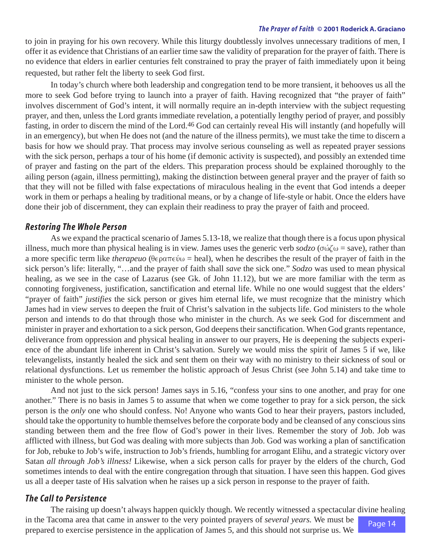<span id="page-13-0"></span>to join in praying for his own recovery. While this liturgy doubtlessly involves unnecessary traditions of men, I offer it as evidence that Christians of an earlier time saw the validity of preparation for the prayer of faith. There is no evidence that elders in earlier centuries felt constrained to pray the prayer of faith immediately upon it being requested, but rather felt the liberty to seek God first.

In today's church where both leadership and congregation tend to be more transient, it behooves us all the more to seek God before trying to launch into a prayer of faith. Having recognized that "the prayer of faith" involves discernment of God's intent, it will normally require an in-depth interview with the subject requesting prayer, and then, unless the Lord grants immediate revelation, a potentially lengthy period of prayer, and possibly fasting, in order to discern the mind of the Lord[.46](#page-20-0) God can certainly reveal His will instantly (and hopefully will in an emergency), but when He does not (and the nature of the illness permits), we must take the time to discern a basis for how we should pray. That process may involve serious counseling as well as repeated prayer sessions with the sick person, perhaps a tour of his home (if demonic activity is suspected), and possibly an extended time of prayer and fasting on the part of the elders. This preparation process should be explained thoroughly to the ailing person (again, illness permitting), making the distinction between general prayer and the prayer of faith so that they will not be filled with false expectations of miraculous healing in the event that God intends a deeper work in them or perhaps a healing by traditional means, or by a change of life-style or habit. Once the elders have done their job of discernment, they can explain their readiness to pray the prayer of faith and proceed.

#### *Restoring The Whole Person*

As we expand the practical scenario of James 5.13-18, we realize that though there is a focus upon physical illness, much more than physical healing is in view. James uses the generic verb  $sodzo$  ( $\sigma\omega\zeta\omega$  = save), rather than a more specific term like *therapeuo* ( $\theta \in \rho \circ \pi \in \psi_0$  = heal), when he describes the result of the prayer of faith in the sick person's life: literally, "…and the prayer of faith shall *save* the sick one." *Sodzo* was used to mean physical healing, as we see in the case of Lazarus (see Gk. of John 11.12), but we are more familiar with the term as connoting forgiveness, justification, sanctification and eternal life. While no one would suggest that the elders' "prayer of faith" *justifies* the sick person or gives him eternal life, we must recognize that the ministry which James had in view serves to deepen the fruit of Christ's salvation in the subjects life. God ministers to the whole person and intends to do that through those who minister in the church. As we seek God for discernment and minister in prayer and exhortation to a sick person, God deepens their sanctification. When God grants repentance, deliverance from oppression and physical healing in answer to our prayers, He is deepening the subjects experience of the abundant life inherent in Christ's salvation. Surely we would miss the spirit of James 5 if we, like televangelists, instantly healed the sick and sent them on their way with no ministry to their sickness of soul or relational dysfunctions. Let us remember the holistic approach of Jesus Christ (see John 5.14) and take time to minister to the whole person.

And not just to the sick person! James says in 5.16, "confess your sins to one another, and pray for one another." There is no basis in James 5 to assume that when we come together to pray for a sick person, the sick person is the *only* one who should confess. No! Anyone who wants God to hear their prayers, pastors included, should take the opportunity to humble themselves before the corporate body and be cleansed of any conscious sins standing between them and the free flow of God's power in their lives. Remember the story of Job. Job was afflicted with illness, but God was dealing with more subjects than Job. God was working a plan of sanctification for Job, rebuke to Job's wife, instruction to Job's friends, humbling for arrogant Elihu, and a strategic victory over Satan *all through Job's illness!* Likewise, when a sick person calls for prayer by the elders of the church, God sometimes intends to deal with the entire congregation through that situation. I have seen this happen. God gives us all a deeper taste of His salvation when he raises up a sick person in response to the prayer of faith.

### *The Call to Persistence*

Page 14 The raising up doesn't always happen quickly though. We recently witnessed a spectacular divine healing in the Tacoma area that came in answer to the very pointed prayers of *several years.* We must be prepared to exercise persistence in the application of James 5, and this should not surprise us. We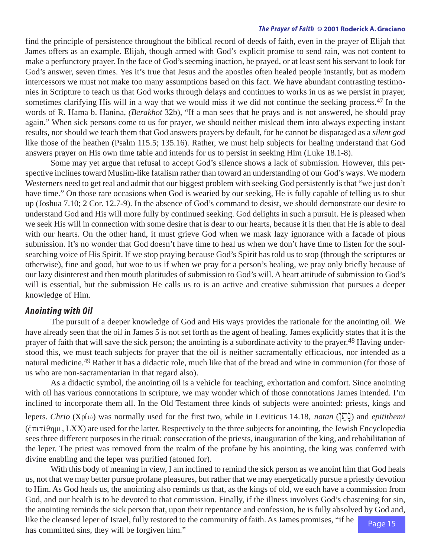<span id="page-14-0"></span>find the principle of persistence throughout the biblical record of deeds of faith, even in the prayer of Elijah that James offers as an example. Elijah, though armed with God's explicit promise to send rain, was not content to make a perfunctory prayer. In the face of God's seeming inaction, he prayed, or at least sent his servant to look for God's answer, seven times. Yes it's true that Jesus and the apostles often healed people instantly, but as modern intercessors we must not make too many assumptions based on this fact. We have abundant contrasting testimonies in Scripture to teach us that God works through delays and continues to works in us as we persist in prayer, sometimes clarifying His will in a way that we would miss if we did not continue the seeking process.<sup>47</sup> In the words of R. Hama b. Hanina, *(Berakhot* 32b), "If a man sees that he prays and is not answered, he should pray again." When sick persons come to us for prayer, we should neither mislead them into always expecting instant results, nor should we teach them that God answers prayers by default, for he cannot be disparaged as a *silent god* like those of the heathen (Psalm 115.5; 135.16). Rather, we must help subjects for healing understand that God answers prayer on His own time table and intends for us to persist in seeking Him (Luke 18.1-8).

Some may yet argue that refusal to accept God's silence shows a lack of submission. However, this perspective inclines toward Muslim-like fatalism rather than toward an understanding of our God's ways. We modern Westerners need to get real and admit that our biggest problem with seeking God persistently is that "we just don't have time." On those rare occasions when God is wearied by our seeking, He is fully capable of telling us to shut up (Joshua 7.10; 2 Cor. 12.7-9). In the absence of God's command to desist, we should demonstrate our desire to understand God and His will more fully by continued seeking. God delights in such a pursuit. He is pleased when we seek His will in connection with some desire that is dear to our hearts, because it is then that He is able to deal with our hearts. On the other hand, it must grieve God when we mask lazy ignorance with a facade of pious submission. It's no wonder that God doesn't have time to heal us when we don't have time to listen for the soulsearching voice of His Spirit. If we stop praying because God's Spirit has told us to stop (through the scriptures or otherwise), fine and good, but woe to us if when we pray for a person's healing, we pray only briefly because of our lazy disinterest and then mouth platitudes of submission to God's will. A heart attitude of submission to God's will is essential, but the submission He calls us to is an active and creative submission that pursues a deeper knowledge of Him.

#### *Anointing with Oil*

The pursuit of a deeper knowledge of God and His ways provides the rationale for the anointing oil. We have already seen that the oil in James 5 is not set forth as the agent of healing. James explicitly states that it is the prayer of faith that will save the sick person; the anointing is a subordinate activity to the prayer.<sup>48</sup> Having understood this, we must teach subjects for prayer that the oil is neither sacramentally efficacious, nor intended as a natural medicine[.49](#page-20-0) Rather it has a didactic role, much like that of the bread and wine in communion (for those of us who are non-sacramentarian in that regard also).

As a didactic symbol, the anointing oil is a vehicle for teaching, exhortation and comfort. Since anointing with oil has various connotations in scripture, we may wonder which of those connotations James intended. I'm inclined to incorporate them all. In the Old Testament three kinds of subjects were anointed: priests, kings and

lepers. *Chrio* (Χρίω) was normally used for the first two, while in Leviticus 14.18, *natan* ([͡[]]) and *epitithemi*  $(\hat{\epsilon}\pi\iota\tau\hat{\theta}\eta\mu, LXX)$  are used for the latter. Respectively to the three subjects for anointing, the Jewish Encyclopedia sees three different purposes in the ritual: consecration of the priests, inauguration of the king, and rehabilitation of the leper. The priest was removed from the realm of the profane by his anointing, the king was conferred with divine enabling and the leper was purified (atoned for).

Page 15 With this body of meaning in view, I am inclined to remind the sick person as we anoint him that God heals us, not that we may better pursue profane pleasures, but rather that we may energetically pursue a priestly devotion to Him. As God heals us, the anointing also reminds us that, as the kings of old, we each have a commission from God, and our health is to be devoted to that commission. Finally, if the illness involves God's chastening for sin, the anointing reminds the sick person that, upon their repentance and confession, he is fully absolved by God and, like the cleansed leper of Israel, fully restored to the community of faith. As James promises, "if he has committed sins, they will be forgiven him."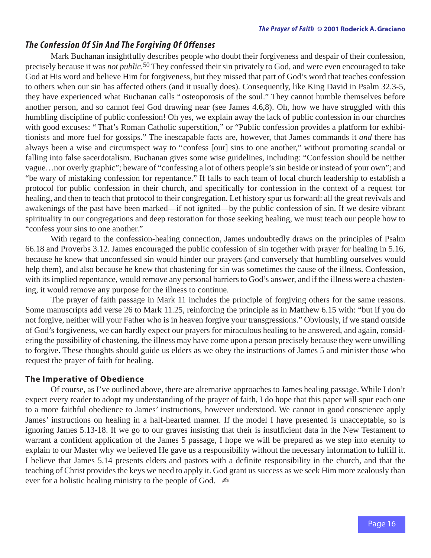#### <span id="page-15-0"></span>*The Confession Of Sin And The Forgiving Of Offenses*

Mark Buchanan insightfully describes people who doubt their forgiveness and despair of their confession, precisely because it was *not public.*[50](#page-21-0) They confessed their sin privately to God, and were even encouraged to take God at His word and believe Him for forgiveness, but they missed that part of God's word that teaches confession to others when our sin has affected others (and it usually does). Consequently, like King David in Psalm 32.3-5, they have experienced what Buchanan calls "osteoporosis of the soul." They cannot humble themselves before another person, and so cannot feel God drawing near (see James 4.6,8). Oh, how we have struggled with this humbling discipline of public confession! Oh yes, we explain away the lack of public confession in our churches with good excuses: "That's Roman Catholic superstition," or "Public confession provides a platform for exhibitionists and more fuel for gossips." The inescapable facts are, however, that James commands it *and* there has always been a wise and circumspect way to "confess [our] sins to one another," without promoting scandal or falling into false sacerdotalism. Buchanan gives some wise guidelines, including: "Confession should be neither vague…nor overly graphic"; beware of "confessing a lot of others people's sin beside or instead of your own"; and "be wary of mistaking confession for repentance." If falls to each team of local church leadership to establish a protocol for public confession in their church, and specifically for confession in the context of a request for healing, and then to teach that protocol to their congregation. Let history spur us forward: all the great revivals and awakenings of the past have been marked—if not ignited—by the public confession of sin. If we desire vibrant spirituality in our congregations and deep restoration for those seeking healing, we must teach our people how to "confess your sins to one another."

With regard to the confession-healing connection, James undoubtedly draws on the principles of Psalm 66.18 and Proverbs 3.12. James encouraged the public confession of sin together with prayer for healing in 5.16, because he knew that unconfessed sin would hinder our prayers (and conversely that humbling ourselves would help them), and also because he knew that chastening for sin was sometimes the cause of the illness. Confession, with its implied repentance, would remove any personal barriers to God's answer, and if the illness were a chastening, it would remove any purpose for the illness to continue.

The prayer of faith passage in Mark 11 includes the principle of forgiving others for the same reasons. Some manuscripts add verse 26 to Mark 11.25, reinforcing the principle as in Matthew 6.15 with: "but if you do not forgive, neither will your Father who is in heaven forgive your transgressions." Obviously, if we stand outside of God's forgiveness, we can hardly expect our prayers for miraculous healing to be answered, and again, considering the possibility of chastening, the illness may have come upon a person precisely because they were unwilling to forgive. These thoughts should guide us elders as we obey the instructions of James 5 and minister those who request the prayer of faith for healing.

#### **The Imperative of Obedience**

Of course, as I've outlined above, there are alternative approaches to James healing passage. While I don't expect every reader to adopt my understanding of the prayer of faith, I do hope that this paper will spur each one to a more faithful obedience to James' instructions, however understood. We cannot in good conscience apply James' instructions on healing in a half-hearted manner. If the model I have presented is unacceptable, so is ignoring James 5.13-18. If we go to our graves insisting that their is insufficient data in the New Testament to warrant a confident application of the James 5 passage, I hope we will be prepared as we step into eternity to explain to our Master why we believed He gave us a responsibility without the necessary information to fulfill it. I believe that James 5.14 presents elders and pastors with a definite responsibility in the church, and that the teaching of Christ provides the keys we need to apply it. God grant us success as we seek Him more zealously than ever for a holistic healing ministry to the people of God.  $\triangle$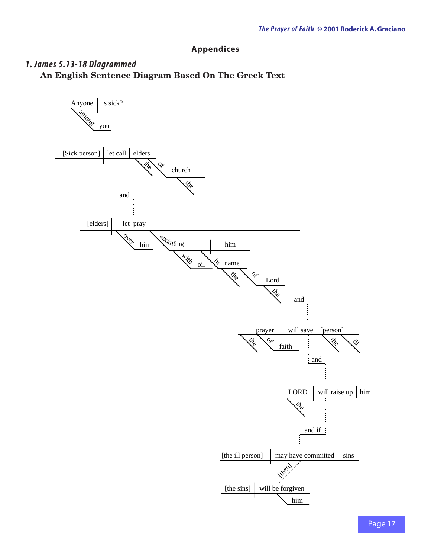## **Appendices**

## <span id="page-16-0"></span>*1. James 5.13-18 Diagrammed* **An English Sentence Diagram Based On The Greek Text**

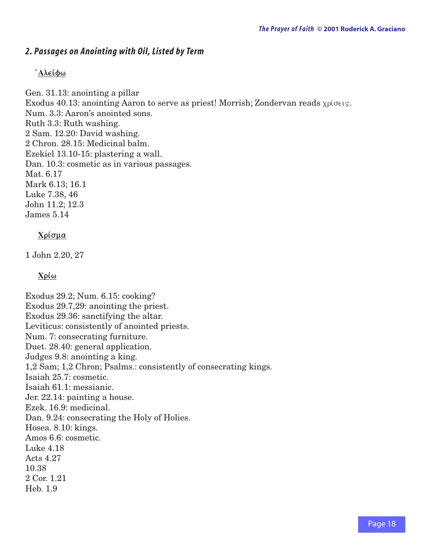## *2. Passages on Anointing with Oil, Listed by Term*

#### **Alei j fwv**

Gen. 31.13: anointing a pillar Exodus 40.13: anointing Aaron to serve as priest! Morrish; Zondervan reads  $\chi$  $\rho$ ίσεις. Num. 3.3: Aaron's anointed sons. Ruth 3.3: Ruth washing. 2 Sam. 12.20: David washing. 2 Chron. 28.15: Medicinal balm. Ezekiel 13.10-15: plastering a wall. Dan. 10.3: cosmetic as in various passages. Mat. 6.17 Mark 6.13; 16.1 Luke 7.38, 46 John 11.2; 12.3 James 5.14

#### **Χρίσμα**

1 John 2.20, 27

 $Xo$ *C* $\omega$ 

Exodus 29.2; Num. 6.15: cooking? Exodus 29.7,29: anointing the priest. Exodus 29.36: sanctifying the altar. Leviticus: consistently of anointed priests. Num. 7: consecrating furniture. Duet. 28.40: general application. Judges 9.8: anointing a king. 1,2 Sam; 1,2 Chron; Psalms.: consistently of consecrating kings. Isaiah 25.7: cosmetic. Isaiah 61.1: messianic. Jer. 22.14: painting a house. Ezek. 16.9: medicinal. Dan. 9.24: consecrating the Holy of Holies. Hosea. 8.10: kings. Amos 6.6: cosmetic. Luke 4.18 Acts 4.27 10.38 2 Cor. 1.21 Heb. 1.9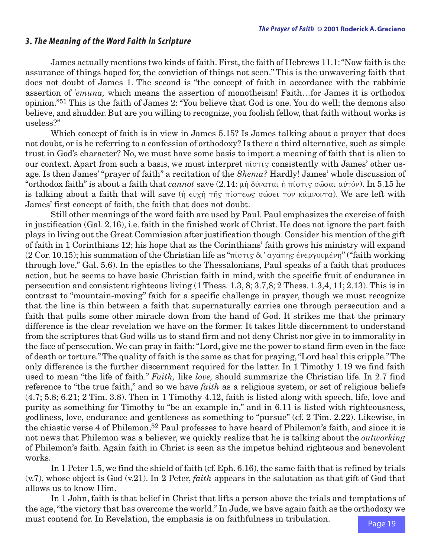#### <span id="page-18-0"></span>*3. The Meaning of the Word Faith in Scripture*

James actually mentions two kinds of faith. First, the faith of Hebrews 11.1: "Now faith is the assurance of things hoped for, the conviction of things not seen." This is the unwavering faith that does not doubt of James 1. The second is "the concept of faith in accordance with the rabbinic assertion of *'emuna,* which means the assertion of monotheism! Faith…for James it is orthodox opinion.["51](#page-21-0) This is the faith of James 2: "You believe that God is one. You do well; the demons also believe, and shudder. But are you willing to recognize, you foolish fellow, that faith without works is useless?"

Which concept of faith is in view in James 5.15? Is James talking about a prayer that does not doubt, or is he referring to a confession of orthodoxy? Is there a third alternative, such as simple trust in God's character? No, we must have some basis to import a meaning of faith that is alien to our context. Apart from such a basis, we must interpret  $\pi(\sigma\tau)$  consistently with James' other usage. Is then James' "prayer of faith" a recitation of the *Shema?* Hardly! James' whole discussion of "orthodox faith" is about a faith that *cannot* save  $(2.14: \mu \eta)$  δύναται ή πίστις σώσαι αὐτόν). In 5.15 he is talking about a faith that will save ( $\eta$   $\epsilon \dot{\nu} \chi \dot{\eta}$   $\tau \dot{\eta}$   $\tau \dot{\eta}$   $\tau \dot{\epsilon} \omega$   $\sigma \dot{\omega}$   $\epsilon \dot{\epsilon}$  to  $\nu$  κάμνοντα). We are left with James' first concept of faith, the faith that does not doubt.

Still other meanings of the word faith are used by Paul. Paul emphasizes the exercise of faith in justification (Gal. 2.16), i.e. faith in the finished work of Christ. He does not ignore the part faith plays in living out the Great Commission after justification though. Consider his mention of the gift of faith in 1 Corinthians 12; his hope that as the Corinthians' faith grows his ministry will expand (2 Cor. 10.15); his summation of the Christian life as "πίστις δι' άγάπης ένεργουμένη" ("faith working through love," Gal. 5.6). In the epistles to the Thessalonians, Paul speaks of a faith that produces action, but he seems to have basic Christian faith in mind, with the specific fruit of endurance in persecution and consistent righteous living (1 Thess. 1.3, 8; 3.7,8; 2 Thess. 1.3,4, 11; 2.13). This is in contrast to "mountain-moving" faith for a specific challenge in prayer, though we must recognize that the line is thin between a faith that supernaturally carries one through persecution and a faith that pulls some other miracle down from the hand of God. It strikes me that the primary difference is the clear revelation we have on the former. It takes little discernment to understand from the scriptures that God wills us to stand firm and not deny Christ nor give in to immorality in the face of persecution. We can pray in faith: "Lord, give me the power to stand firm even in the face of death or torture." The quality of faith is the same as that for praying, "Lord heal this cripple." The only difference is the further discernment required for the latter. In 1 Timothy 1.19 we find faith used to mean "the life of faith." *Faith,* like *love,* should summarize the Christian life. In 2.7 find reference to "the true faith," and so we have *faith* as a religious system, or set of religious beliefs (4.7; 5.8; 6.21; 2 Tim. 3.8). Then in 1 Timothy 4.12, faith is listed along with speech, life, love and purity as something for Timothy to "be an example in," and in 6.11 is listed with righteousness, godliness, love, endurance and gentleness as something to "pursue" (cf. 2 Tim. 2.22). Likewise, in the chiastic verse 4 of Philemon,<sup>[52](#page-21-0)</sup> Paul professes to have heard of Philemon's faith, and since it is not news that Philemon was a believer, we quickly realize that he is talking about the *outworking* of Philemon's faith. Again faith in Christ is seen as the impetus behind righteous and benevolent works.

In 1 Peter 1.5, we find the shield of faith (cf. Eph. 6.16), the same faith that is refined by trials (v.7), whose object is God (v.21). In 2 Peter, *faith* appears in the salutation as that gift of God that allows us to know Him.

In 1 John, faith is that belief in Christ that lifts a person above the trials and temptations of the age, "the victory that has overcome the world." In Jude, we have again faith as the orthodoxy we must contend for. In Revelation, the emphasis is on faithfulness in tribulation.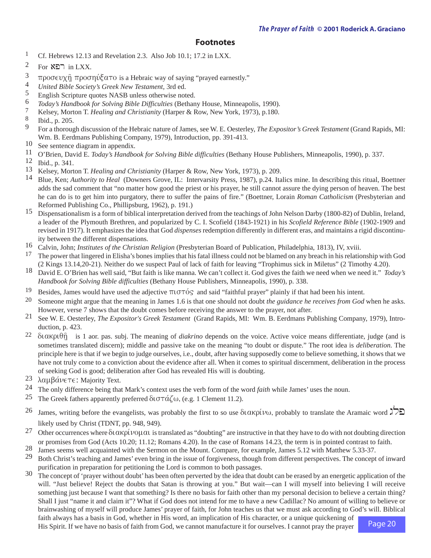#### **Footnotes**

- <span id="page-19-0"></span><sup>1</sup> Cf. Hebrews 12.13 and Revelation 2.3. Also Job 10.1: 17.2 in LXX.
- $2$  For  $R\Box$  in LXX.
- <sup>3</sup> προσευχ $\hat{\eta}$  προσηύξατο is a Hebraic way of saying "prayed earnestly."
- 4 *United Bible Society's Greek New Testament,* 3rd ed.
- <sup>[5](#page-1-0)</sup> English Scripture quotes NASB unless otherwise noted.<br>  $\frac{6}{10}$  Today's Handbook for Solving Bible Difficulties (Bethan
- <sup>6</sup> *Today's Handbook for Solving Bible Difficulties* (Bethany House, Minneapolis, 1990).<br><sup>7</sup> Kelsey, Morton T. Healing and Christianity (Harper & Row, New York, 1973), p.180.
- [7](#page-2-0) Kelsey, Morton T. *Healing and Christianity* (Harper & Row, New York, 1973), p.180.
- $\frac{8}{9}$  $\frac{8}{9}$  $\frac{8}{9}$  Ibid., p. 205.
- [9](#page-3-0) For a thorough discussion of the Hebraic nature of James, see W. E. Oesterley, *The Expositor's Greek Testament* (Grand Rapids, MI: Wm. B. Eerdmans Publishing Company, 1979), Introduction, pp. 391-413.
- [10](#page-3-0) See sentence diagram in appendix.
- 11 O'Brien, David E. *Today's Handbook for Solving Bible difficulties* (Bethany House Publishers, Minneapolis, 1990), p. 337.
- 12 Ibid., p. 341.
- [13](#page-4-0) Kelsey, Morton T. *Healing and Christianity* (Harper & Row, New York, 1973), p. 209.<br>14 Blue Ken: *Authority to Heal* (Downers Grove II.: Intervarsity Press, 1987) p. 24 Ita
- 14 Blue, Ken; *Authority to Heal* (Downers Grove, IL: Intervarsity Press, 1987), p.24. Italics mine. In describing this ritual, Boettner adds the sad comment that "no matter how good the priest or his prayer, he still cannot assure the dying person of heaven. The best he can do is to get him into purgatory, there to suffer the pains of fire." (Boettner, Lorain *Roman Catholicism* (Presbyterian and Reformed Publishing Co., Phillipsburg, 1962), p. 191.)
- 15 Dispensationalism is a form of biblical interpretation derived from the teachings of John Nelson Darby (1800-82) of Dublin, Ireland, a leader of the Plymouth Brethren, and popularized by C. I. Scofield (1843-1921) in his *Scofield Reference Bible* (1902-1909 and revised in 1917). It emphasizes the idea that God *dispenses* redemption differently in different eras, and maintains a rigid discontinuity between the different dispensations.
- [16](#page-4-0) Calvin, John; *Institutes of the Christian Religion* (Presbyterian Board of Publication, Philadelphia, 1813), IV, xviii.
- <sup>17</sup> The power that lingered in Elisha's bones implies that his fatal illness could not be blamed on any breach in his relationship with God (2 Kings 13.14,20-21). Neither do we suspect Paul of lack of faith for leaving "Trophimus sick in Miletus" (2 Timothy 4.20).
- [18](#page-5-0) David E. O'Brien has well said, "But faith is like manna. We can't collect it. God gives the faith we need when we need it." *Today's Handbook for Solving Bible difficulties* (Bethany House Publishers, Minneapolis, 1990), p. 338.
- <sup>19</sup> Besides, James would have used the adjective  $\pi \iota \sigma \tau \circ S$  and said "faithful prayer" plainly if that had been his intent.
- 20 Someone might argue that the meaning in James 1.6 is that one should not doubt *the guidance he receives from God* when he asks. However, verse 7 shows that the doubt comes before receiving the answer to the prayer, not after.
- [21](#page-5-0) See W. E. Oesterley, *The Expositor's Greek Testament* (Grand Rapids, MI: Wm. B. Eerdmans Publishing Company, 1979), Introduction, p. 423.
- <sup>22</sup> διακριθή is 1 aor. pas. subj. The meaning of *diakrino* depends on the voice. Active voice means differentiate, judge (and is sometimes translated discern); middle and passive take on the meaning "to doubt or dispute." The root idea is *deliberation.* The principle here is that if we begin to judge ourselves, i.e., doubt, after having supposedly come to believe something, it shows that we have not truly come to a conviction about the evidence after all. When it comes to spiritual discernment, deliberation in the process of seeking God is good; deliberation after God has revealed His will is doubting.
- [23](#page-6-0)  $\lambda \alpha \mu \beta \acute{\alpha} \nu \in \tau \in$ : Majority Text.<br>24 The only difference being that
- [24](#page-6-0) The only difference being that Mark's context uses the verb form of the word *faith* while James' uses the noun.
- <sup>[25](#page-6-0)</sup> The Greek fathers apparently preferred  $\delta \iota \sigma \tau \dot{\alpha} \zeta \omega$ , (e.g. 1 Clement 11.2).
- [26](#page-7-0) James, writing before the evangelists, was probably the first to so use  $\delta$ takpiv $\omega$ , probably to translate the Aramaic word  $\lambda$ likely used by Christ (TDNT, pp. 948, 949).
- 27 Other occurrences where  $\delta$ ιακρίνομαι is translated as "doubting" are instructive in that they have to do with not doubting direction or promises from God (Acts 10.20; 11.12; Romans 4.20). In the case of Romans 14.23, the term is in pointed contrast to faith.
- 28 James seems well acquainted with the Sermon on the Mount. Compare, for example, James 5.12 with Matthew 5.33-37.
- <sup>29</sup> Both Christ's teaching and James' even bring in the issue of forgiveness, though from different perspectives. The concept of inward purification in preparation for petitioning the Lord is common to both passages.
- <sup>30</sup> The concept of 'prayer without doubt' has been often perverted by the idea that doubt can be erased by an energetic application of the will. "Just believe! Reject the doubts that Satan is throwing at you." But wait—can I will myself into believing I will receive something just because I want that something? Is there no basis for faith other than my personal decision to believe a certain thing? Shall I just "name it and claim it"? What if God does not intend for me to have a new Cadillac? No amount of willing to believe or brainwashing of myself will produce James' prayer of faith, for John teaches us that we must ask according to God's will. Biblical faith always has a basis in God, whether in His word, an implication of His character, or a unique quickening of

His Spirit. If we have no basis of faith from God, we cannot manufacture it for ourselves. I cannot pray the prayer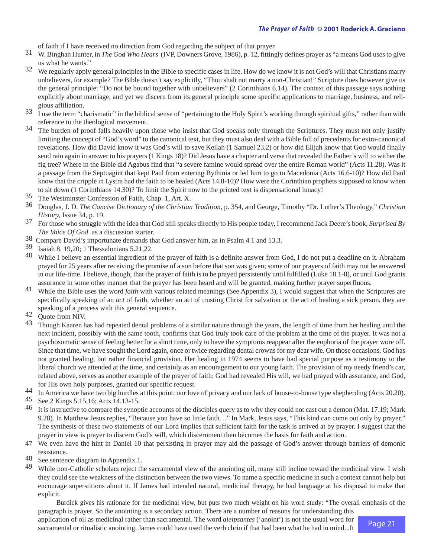<span id="page-20-0"></span>of faith if I have received no direction from God regarding the subject of that prayer.

- [31](#page-7-0) W. Binghan Hunter, in *The God Who Hears* (IVP, Downers Grove, 1986), p. 12, fittingly defines prayer as "a means God uses to give us what he wants."
- [32](#page-7-0) We regularly apply general principles in the Bible to specific cases in life. How do we know it is not God's will that Christians marry unbelievers, for example? The Bible doesn't say explicitly, "Thou shalt not marry a non-Christian!" Scripture does however give us the general principle: "Do not be bound together with unbelievers" (2 Corinthians 6.14). The context of this passage says nothing explicitly about marriage, and yet we discern from its general principle some specific applications to marriage, business, and religious affiliation.
- $\frac{33}{1}$  $\frac{33}{1}$  $\frac{33}{1}$  I use the term "charismatic" in the biblical sense of "pertaining to the Holy Spirit's working through spiritual gifts," rather than with reference to the theological movement.
- <sup>34</sup> The burden of proof falls heavily upon those who insist that God speaks only through the Scriptures. They must not only justify limiting the concept of "God's word" to the canonical text, but they must also deal with a Bible full of precedents for extra-canonical revelations. How did David know it was God's will to save Keilah (1 Samuel 23.2) or how did Elijah know that God would finally send rain again in answer to his prayers (1 Kings 18)? Did Jesus have a chapter and verse that revealed the Father's will to wither the fig tree? Where in the Bible did Agabus find that "a severe famine would spread over the entire Roman world" (Acts 11.28). Was it a passage from the Septuagint that kept Paul from entering Bythinia or led him to go to Macedonia (Acts 16.6-10)? How did Paul know that the cripple in Lystra had the faith to be healed (Acts 14.8-10)? How were the Corinthian prophets supposed to know when to sit down (1 Corinthians 14.30)? To limit the Spirit now to the printed text is dispensational lunacy!
- 35 The Westminster Confession of Faith, Chap. 1, Art. X.
- 36 Douglas, J. D. *The Concise Dictionary of the Christian Tradition,* p. 354, and George, Timothy "Dr. Luther's Theology," *Christian History,* Issue 34, p. 19.
- 37 For those who struggle with the idea that God still speaks directly to His people today, I recommend Jack Deere's book, *Surprised By The Voice Of God* as a discussion starter.
- [38](#page-9-0) Compare David's importunate demands that God answer him, as in Psalm 4.1 and 13.3.
- 39 Isaiah 8. 19,20; 1 Thessalonians 5.21,22.
- <sup>[40](#page-9-0)</sup> While I believe an essential ingredient of the prayer of faith is a definite answer from God, I do not put a deadline on it. Abraham prayed for 25 years after receiving the promise of a son before that son was given; some of our prayers of faith may not be answered in our life-time. I believe, though, that the prayer of faith is to be prayed persistently until fulfilled (Luke 18.1-8), or until God grants assurance in some other manner that the prayer has been heard and will be granted, making further prayer superfluous.
- [41](#page-10-0) While the Bible uses the word *faith* with various related meanings (See Appendix 3), I would suggest that when the Scriptures are specifically speaking of an *act* of faith, whether an act of trusting Christ for salvation or the act of healing a sick person, they are speaking of a process with this general sequence.
- 42 Quote from NIV.
- <sup>[43](#page-11-0)</sup> Though Kaaren has had repeated dental problems of a similar nature through the years, the length of time from her healing until the next incident, possibly with the same tooth, confirms that God truly took care of the problem at the time of the prayer. It was not a psychosomatic sense of feeling better for a short time, only to have the symptoms reappear after the euphoria of the prayer wore off. Since that time, we have sought the Lord again, once or twice regarding dental crowns for my dear wife. On those occasions, God has not granted healing, but rather financial provision. Her healing in 1974 seems to have had special purpose as a testimony to the liberal church we attended at the time, and certainly as an encouragement to our young faith. The provision of my needy friend's car, related above, serves as another example of the prayer of faith: God had revealed His will, we had prayed with assurance, and God, for His own holy purposes, granted our specific request.
- [44](#page-12-0) In America we have two big hurdles at this point: our love of privacy and our lack of house-to-house type shepherding (Acts 20.20).
- 45 See 2 Kings 5.15,16; Acts 14.13-15.
- <sup>[46](#page-13-0)</sup> It is instructive to compare the synoptic accounts of the disciples query as to why they could not cast out a demon (Mat. 17.19; Mark 9.28). In Matthew Jesus replies, "Because you have so little faith…" In Mark, Jesus says, "This kind can come out only by prayer." The synthesis of these two statements of our Lord implies that sufficient faith for the task is arrived at by prayer. I suggest that the prayer in view is prayer to discern God's will, which discernment then becomes the basis for faith and action.
- [47](#page-14-0) We even have the hint in Daniel 10 that persisting in prayer may aid the passage of God's answer through barriers of demonic resistance.
- [48](#page-14-0) See sentence diagram in [Appendix 1.](#page-16-0)<br>49 While non-Catholic scholars reject the
- While non-Catholic scholars reject the sacramental view of the anointing oil, many still incline toward the medicinal view. I wish they could see the weakness of the distinction between the two views. To name a specific medicine in such a context cannot help but encourage superstitions about it. If James had intended natural, medicinal therapy, he had language at his disposal to make that explicit.

Burdick gives his rationale for the medicinal view, but puts two much weight on his word study: "The overall emphasis of the paragraph is prayer. So the anointing is a secondary action. There are a number of reasons for understanding this

application of oil as medicinal rather than sacramental. The word *aleipsantes* ('anoint') is not the usual word for sacramental or ritualistic anointing. James could have used the verb chrio if that had been what he had in mind...It